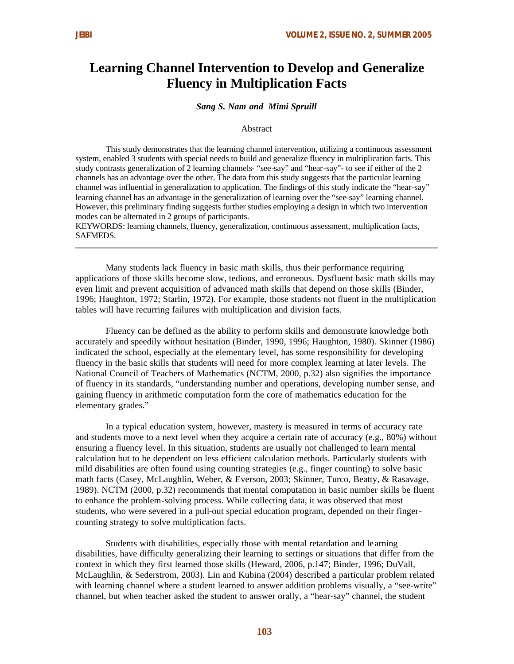# **Learning Channel Intervention to Develop and Generalize Fluency in Multiplication Facts**

# *Sang S. Nam and Mimi Spruill*

#### Abstract

This study demonstrates that the learning channel intervention, utilizing a continuous assessment system, enabled 3 students with special needs to build and generalize fluency in multiplication facts. This study contrasts generalization of 2 learning channels- "see-say" and "hear-say"- to see if either of the 2 channels has an advantage over the other. The data from this study suggests that the particular learning channel was influential in generalization to application. The findings of this study indicate the "hear-say" learning channel has an advantage in the generalization of learning over the "see-say" learning channel. However, this preliminary finding suggests further studies employing a design in which two intervention modes can be alternated in 2 groups of participants.

KEYWORDS: learning channels, fluency, generalization, continuous assessment, multiplication facts, SAFMEDS.

Many students lack fluency in basic math skills, thus their performance requiring applications of those skills become slow, tedious, and erroneous. Dysfluent basic math skills may even limit and prevent acquisition of advanced math skills that depend on those skills (Binder, 1996; Haughton, 1972; Starlin, 1972). For example, those students not fluent in the multiplication tables will have recurring failures with multiplication and division facts.

Fluency can be defined as the ability to perform skills and demonstrate knowledge both accurately and speedily without hesitation (Binder, 1990, 1996; Haughton, 1980). Skinner (1986) indicated the school, especially at the elementary level, has some responsibility for developing fluency in the basic skills that students will need for more complex learning at later levels. The National Council of Teachers of Mathematics (NCTM, 2000, p.32) also signifies the importance of fluency in its standards, "understanding number and operations, developing number sense, and gaining fluency in arithmetic computation form the core of mathematics education for the elementary grades."

In a typical education system, however, mastery is measured in terms of accuracy rate and students move to a next level when they acquire a certain rate of accuracy (e.g., 80%) without ensuring a fluency level. In this situation, students are usually not challenged to learn mental calculation but to be dependent on less efficient calculation methods. Particularly students with mild disabilities are often found using counting strategies (e.g., finger counting) to solve basic math facts (Casey, McLaughlin, Weber, & Everson, 2003; Skinner, Turco, Beatty, & Rasavage, 1989). NCTM (2000, p.32) recommends that mental computation in basic number skills be fluent to enhance the problem-solving process. While collecting data, it was observed that most students, who were severed in a pull-out special education program, depended on their fingercounting strategy to solve multiplication facts.

Students with disabilities, especially those with mental retardation and le arning disabilities, have difficulty generalizing their learning to settings or situations that differ from the context in which they first learned those skills (Heward, 2006, p.147; Binder, 1996; DuVall, McLaughlin, & Sederstrom, 2003). Lin and Kubina (2004) described a particular problem related with learning channel where a student learned to answer addition problems visually, a "see-write" channel, but when teacher asked the student to answer orally, a "hear-say" channel, the student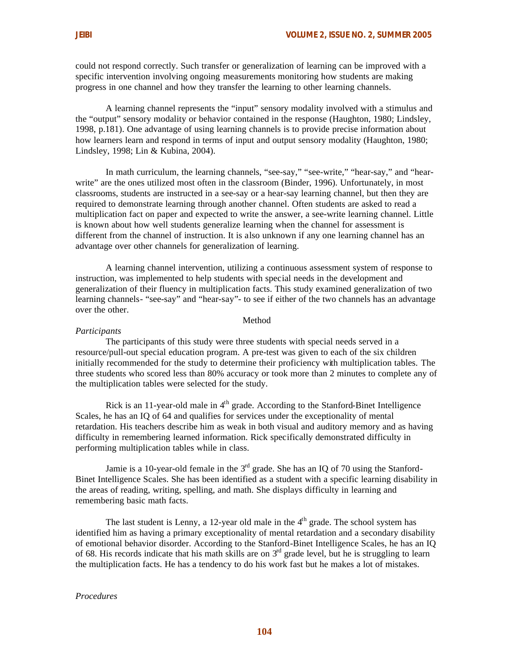could not respond correctly. Such transfer or generalization of learning can be improved with a specific intervention involving ongoing measurements monitoring how students are making progress in one channel and how they transfer the learning to other learning channels.

A learning channel represents the "input" sensory modality involved with a stimulus and the "output" sensory modality or behavior contained in the response (Haughton, 1980; Lindsley, 1998, p.181). One advantage of using learning channels is to provide precise information about how learners learn and respond in terms of input and output sensory modality (Haughton, 1980; Lindsley, 1998; Lin & Kubina, 2004).

In math curriculum, the learning channels, "see-say," "see-write," "hear-say," and "hearwrite" are the ones utilized most often in the classroom (Binder, 1996). Unfortunately, in most classrooms, students are instructed in a see-say or a hear-say learning channel, but then they are required to demonstrate learning through another channel. Often students are asked to read a multiplication fact on paper and expected to write the answer, a see-write learning channel. Little is known about how well students generalize learning when the channel for assessment is different from the channel of instruction. It is also unknown if any one learning channel has an advantage over other channels for generalization of learning.

A learning channel intervention, utilizing a continuous assessment system of response to instruction, was implemented to help students with special needs in the development and generalization of their fluency in multiplication facts. This study examined generalization of two learning channels- "see-say" and "hear-say"- to see if either of the two channels has an advantage over the other.

#### Method

#### *Participants*

The participants of this study were three students with special needs served in a resource/pull-out special education program. A pre-test was given to each of the six children initially recommended for the study to determine their proficiency with multiplication tables. The three students who scored less than 80% accuracy or took more than 2 minutes to complete any of the multiplication tables were selected for the study.

Rick is an 11-year-old male in 4<sup>th</sup> grade. According to the Stanford-Binet Intelligence Scales, he has an IQ of 64 and qualifies for services under the exceptionality of mental retardation. His teachers describe him as weak in both visual and auditory memory and as having difficulty in remembering learned information. Rick specifically demonstrated difficulty in performing multiplication tables while in class.

Jamie is a 10-year-old female in the  $3<sup>rd</sup>$  grade. She has an IO of 70 using the Stanford-Binet Intelligence Scales. She has been identified as a student with a specific learning disability in the areas of reading, writing, spelling, and math. She displays difficulty in learning and remembering basic math facts.

The last student is Lenny, a 12-year old male in the  $4<sup>th</sup>$  grade. The school system has identified him as having a primary exceptionality of mental retardation and a secondary disability of emotional behavior disorder. According to the Stanford-Binet Intelligence Scales, he has an IQ of 68. His records indicate that his math skills are on 3rd grade level, but he is struggling to learn the multiplication facts. He has a tendency to do his work fast but he makes a lot of mistakes.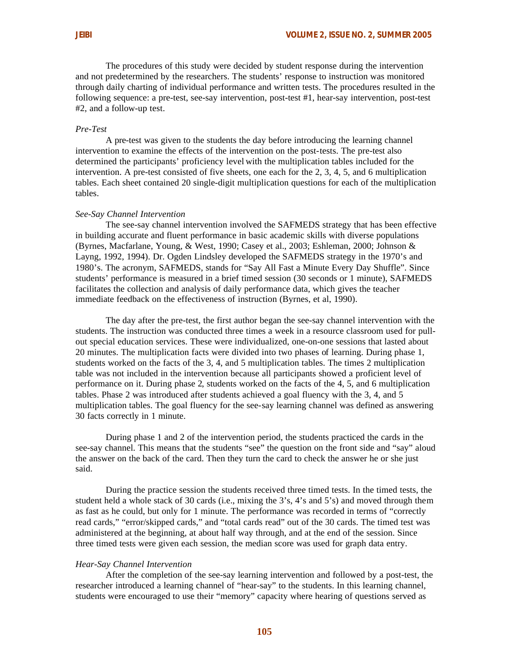The procedures of this study were decided by student response during the intervention and not predetermined by the researchers. The students' response to instruction was monitored through daily charting of individual performance and written tests. The procedures resulted in the following sequence: a pre-test, see-say intervention, post-test #1, hear-say intervention, post-test #2, and a follow-up test.

# *Pre-Test*

A pre-test was given to the students the day before introducing the learning channel intervention to examine the effects of the intervention on the post-tests. The pre-test also determined the participants' proficiency level with the multiplication tables included for the intervention. A pre-test consisted of five sheets, one each for the 2, 3, 4, 5, and 6 multiplication tables. Each sheet contained 20 single-digit multiplication questions for each of the multiplication tables.

#### *See-Say Channel Intervention*

The see-say channel intervention involved the SAFMEDS strategy that has been effective in building accurate and fluent performance in basic academic skills with diverse populations (Byrnes, Macfarlane, Young, & West, 1990; Casey et al., 2003; Eshleman, 2000; Johnson & Layng, 1992, 1994). Dr. Ogden Lindsley developed the SAFMEDS strategy in the 1970's and 1980's. The acronym, SAFMEDS, stands for "Say All Fast a Minute Every Day Shuffle". Since students' performance is measured in a brief timed session (30 seconds or 1 minute), SAFMEDS facilitates the collection and analysis of daily performance data, which gives the teacher immediate feedback on the effectiveness of instruction (Byrnes, et al, 1990).

The day after the pre-test, the first author began the see-say channel intervention with the students. The instruction was conducted three times a week in a resource classroom used for pullout special education services. These were individualized, one-on-one sessions that lasted about 20 minutes. The multiplication facts were divided into two phases of learning. During phase 1, students worked on the facts of the 3, 4, and 5 multiplication tables. The times 2 multiplication table was not included in the intervention because all participants showed a proficient level of performance on it. During phase 2, students worked on the facts of the 4, 5, and 6 multiplication tables. Phase 2 was introduced after students achieved a goal fluency with the 3, 4, and 5 multiplication tables. The goal fluency for the see-say learning channel was defined as answering 30 facts correctly in 1 minute.

During phase 1 and 2 of the intervention period, the students practiced the cards in the see-say channel. This means that the students "see" the question on the front side and "say" aloud the answer on the back of the card. Then they turn the card to check the answer he or she just said.

During the practice session the students received three timed tests. In the timed tests, the student held a whole stack of 30 cards (i.e., mixing the 3's, 4's and 5's) and moved through them as fast as he could, but only for 1 minute. The performance was recorded in terms of "correctly read cards," "error/skipped cards," and "total cards read" out of the 30 cards. The timed test was administered at the beginning, at about half way through, and at the end of the session. Since three timed tests were given each session, the median score was used for graph data entry.

# *Hear-Say Channel Intervention*

After the completion of the see-say learning intervention and followed by a post-test, the researcher introduced a learning channel of "hear-say" to the students. In this learning channel, students were encouraged to use their "memory" capacity where hearing of questions served as

**105**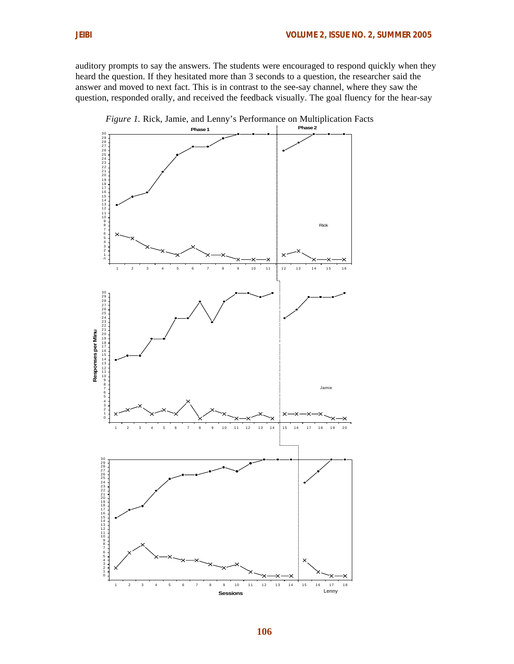auditory prompts to say the answers. The students were encouraged to respond quickly when they heard the question. If they hesitated more than 3 seconds to a question, the researcher said the answer and moved to next fact. This is in contrast to the see-say channel, where they saw the question, responded orally, and received the feedback visually. The goal fluency for the hear-say



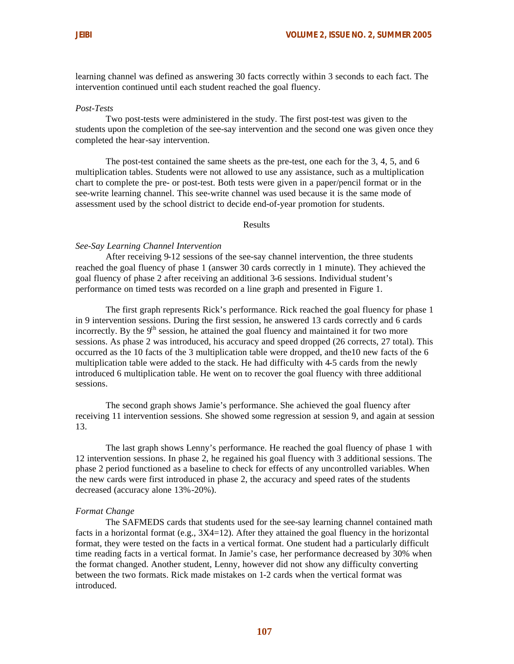learning channel was defined as answering 30 facts correctly within 3 seconds to each fact. The intervention continued until each student reached the goal fluency.

## *Post-Tests*

Two post-tests were administered in the study. The first post-test was given to the students upon the completion of the see-say intervention and the second one was given once they completed the hear-say intervention.

The post-test contained the same sheets as the pre-test, one each for the 3, 4, 5, and 6 multiplication tables. Students were not allowed to use any assistance, such as a multiplication chart to complete the pre- or post-test. Both tests were given in a paper/pencil format or in the see-write learning channel. This see-write channel was used because it is the same mode of assessment used by the school district to decide end-of-year promotion for students.

Results

#### *See-Say Learning Channel Intervention*

After receiving 9-12 sessions of the see-say channel intervention, the three students reached the goal fluency of phase 1 (answer 30 cards correctly in 1 minute). They achieved the goal fluency of phase 2 after receiving an additional 3-6 sessions. Individual student's performance on timed tests was recorded on a line graph and presented in Figure 1.

The first graph represents Rick's performance. Rick reached the goal fluency for phase 1 in 9 intervention sessions. During the first session, he answered 13 cards correctly and 6 cards incorrectly. By the  $9<sup>th</sup>$  session, he attained the goal fluency and maintained it for two more sessions. As phase 2 was introduced, his accuracy and speed dropped (26 corrects, 27 total). This occurred as the 10 facts of the 3 multiplication table were dropped, and the10 new facts of the 6 multiplication table were added to the stack. He had difficulty with 4-5 cards from the newly introduced 6 multiplication table. He went on to recover the goal fluency with three additional sessions.

The second graph shows Jamie's performance. She achieved the goal fluency after receiving 11 intervention sessions. She showed some regression at session 9, and again at session 13.

The last graph shows Lenny's performance. He reached the goal fluency of phase 1 with 12 intervention sessions. In phase 2, he regained his goal fluency with 3 additional sessions. The phase 2 period functioned as a baseline to check for effects of any uncontrolled variables. When the new cards were first introduced in phase 2, the accuracy and speed rates of the students decreased (accuracy alone 13%-20%).

#### *Format Change*

The SAFMEDS cards that students used for the see-say learning channel contained math facts in a horizontal format (e.g.,  $3X4=12$ ). After they attained the goal fluency in the horizontal format, they were tested on the facts in a vertical format. One student had a particularly difficult time reading facts in a vertical format. In Jamie's case, her performance decreased by 30% when the format changed. Another student, Lenny, however did not show any difficulty converting between the two formats. Rick made mistakes on 1-2 cards when the vertical format was introduced.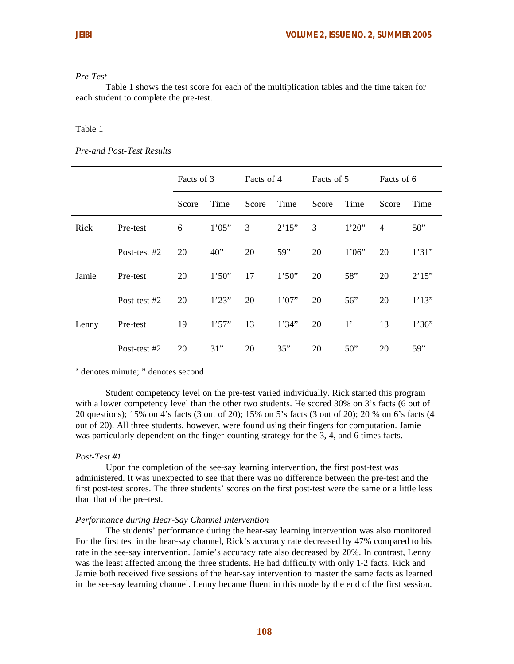#### *Pre-Test*

Table 1 shows the test score for each of the multiplication tables and the time taken for each student to complete the pre-test.

# Table 1

# *Pre-and Post-Test Results*

|       |              | Facts of 3 |        | Facts of 4 |        | Facts of 5 |             | Facts of 6     |       |
|-------|--------------|------------|--------|------------|--------|------------|-------------|----------------|-------|
|       |              | Score      | Time   | Score      | Time   | Score      | Time        | Score          | Time  |
| Rick  | Pre-test     | 6          | 1'05"  | 3          | 2'15"  | 3          | 1'20''      | $\overline{4}$ | 50"   |
|       | Post-test #2 | 20         | 40"    | 20         | 59"    | 20         | 1'06"       | 20             | 1'31" |
| Jamie | Pre-test     | 20         | 1'50'' | 17         | 1'50"  | 20         | 58"         | 20             | 2'15" |
|       | Post-test #2 | 20         | 1'23'' | 20         | 1'07'' | 20         | 56"         | 20             | 1'13" |
| Lenny | Pre-test     | 19         | 1'57'' | 13         | 1'34"  | 20         | $1^{\circ}$ | 13             | 1'36" |
|       | Post-test #2 | 20         | 31"    | 20         | 35"    | 20         | 50"         | 20             | 59"   |

' denotes minute; " denotes second

Student competency level on the pre-test varied individually. Rick started this program with a lower competency level than the other two students. He scored 30% on 3's facts (6 out of 20 questions); 15% on 4's facts (3 out of 20); 15% on 5's facts (3 out of 20); 20 % on 6's facts (4 out of 20). All three students, however, were found using their fingers for computation. Jamie was particularly dependent on the finger-counting strategy for the 3, 4, and 6 times facts.

# *Post-Test #1*

Upon the completion of the see-say learning intervention, the first post-test was administered. It was unexpected to see that there was no difference between the pre-test and the first post-test scores. The three students' scores on the first post-test were the same or a little less than that of the pre-test.

#### *Performance during Hear-Say Channel Intervention*

The students' performance during the hear-say learning intervention was also monitored. For the first test in the hear-say channel, Rick's accuracy rate decreased by 47% compared to his rate in the see-say intervention. Jamie's accuracy rate also decreased by 20%. In contrast, Lenny was the least affected among the three students. He had difficulty with only 1-2 facts. Rick and Jamie both received five sessions of the hear-say intervention to master the same facts as learned in the see-say learning channel. Lenny became fluent in this mode by the end of the first session.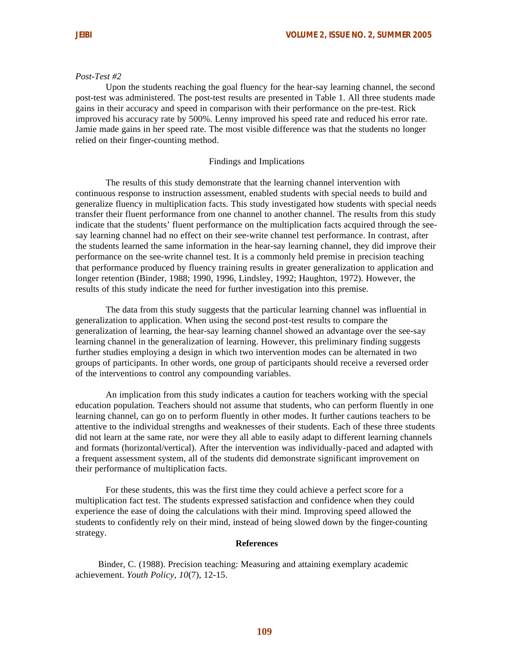#### *Post-Test #2*

Upon the students reaching the goal fluency for the hear-say learning channel, the second post-test was administered. The post-test results are presented in Table 1. All three students made gains in their accuracy and speed in comparison with their performance on the pre-test. Rick improved his accuracy rate by 500%. Lenny improved his speed rate and reduced his error rate. Jamie made gains in her speed rate. The most visible difference was that the students no longer relied on their finger-counting method.

#### Findings and Implications

The results of this study demonstrate that the learning channel intervention with continuous response to instruction assessment, enabled students with special needs to build and generalize fluency in multiplication facts. This study investigated how students with special needs transfer their fluent performance from one channel to another channel. The results from this study indicate that the students' fluent performance on the multiplication facts acquired through the seesay learning channel had no effect on their see-write channel test performance. In contrast, after the students learned the same information in the hear-say learning channel, they did improve their performance on the see-write channel test. It is a commonly held premise in precision teaching that performance produced by fluency training results in greater generalization to application and longer retention (Binder, 1988; 1990, 1996, Lindsley, 1992; Haughton, 1972). However, the results of this study indicate the need for further investigation into this premise.

The data from this study suggests that the particular learning channel was influential in generalization to application. When using the second post-test results to compare the generalization of learning, the hear-say learning channel showed an advantage over the see-say learning channel in the generalization of learning. However, this preliminary finding suggests further studies employing a design in which two intervention modes can be alternated in two groups of participants. In other words, one group of participants should receive a reversed order of the interventions to control any compounding variables.

An implication from this study indicates a caution for teachers working with the special education population. Teachers should not assume that students, who can perform fluently in one learning channel, can go on to perform fluently in other modes. It further cautions teachers to be attentive to the individual strengths and weaknesses of their students. Each of these three students did not learn at the same rate, nor were they all able to easily adapt to different learning channels and formats (horizontal/vertical). After the intervention was individually-paced and adapted with a frequent assessment system, all of the students did demonstrate significant improvement on their performance of multiplication facts.

For these students, this was the first time they could achieve a perfect score for a multiplication fact test. The students expressed satisfaction and confidence when they could experience the ease of doing the calculations with their mind. Improving speed allowed the students to confidently rely on their mind, instead of being slowed down by the finger-counting strategy.

#### **References**

Binder, C. (1988). Precision teaching: Measuring and attaining exemplary academic achievement. *Youth Policy, 10*(7), 12-15.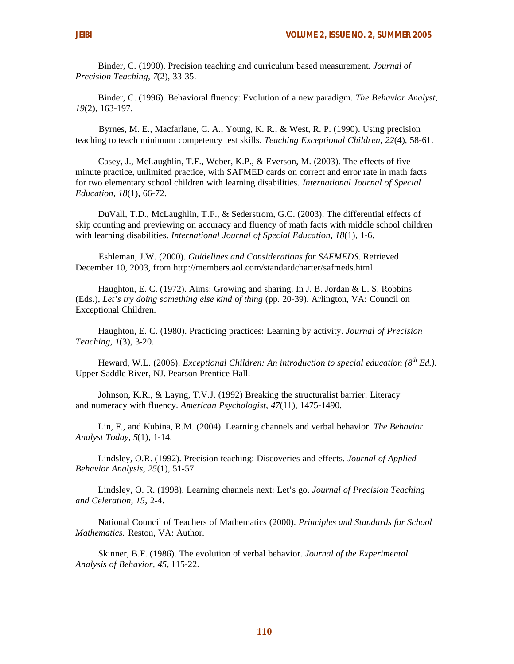Binder, C. (1990). Precision teaching and curriculum based measurement*. Journal of Precision Teaching, 7*(2), 33-35.

Binder, C. (1996). Behavioral fluency: Evolution of a new paradigm. *The Behavior Analyst, 19*(2), 163-197.

Byrnes, M. E., Macfarlane, C. A., Young, K. R., & West, R. P. (1990). Using precision teaching to teach minimum competency test skills. *Teaching Exceptional Children, 22*(4), 58-61.

Casey, J., McLaughlin, T.F., Weber, K.P., & Everson, M. (2003). The effects of five minute practice, unlimited practice, with SAFMED cards on correct and error rate in math facts for two elementary school children with learning disabilities. *International Journal of Special Education, 18*(1), 66-72.

DuVall, T.D., McLaughlin, T.F., & Sederstrom, G.C. (2003). The differential effects of skip counting and previewing on accuracy and fluency of math facts with middle school children with learning disabilities. *International Journal of Special Education, 18*(1), 1-6.

Eshleman, J.W. (2000). *Guidelines and Considerations for SAFMEDS*. Retrieved December 10, 2003, from http://members.aol.com/standardcharter/safmeds.html

Haughton, E. C. (1972). Aims: Growing and sharing. In J. B. Jordan & L. S. Robbins (Eds.), *Let's try doing something else kind of thing* (pp. 20-39). Arlington, VA: Council on Exceptional Children.

Haughton, E. C. (1980). Practicing practices: Learning by activity. *Journal of Precision Teaching, 1*(3), 3-20.

Heward, W.L. (2006). *Exceptional Children: An introduction to special education (8th Ed.).* Upper Saddle River, NJ. Pearson Prentice Hall.

Johnson, K.R., & Layng, T.V.J. (1992) Breaking the structuralist barrier: Literacy and numeracy with fluency. *American Psychologist*, *47*(11), 1475-1490.

Lin, F., and Kubina, R.M. (2004). Learning channels and verbal behavior. *The Behavior Analyst Today, 5*(1), 1-14.

Lindsley, O.R. (1992). Precision teaching: Discoveries and effects. *Journal of Applied Behavior Analysis, 25*(1), 51-57.

Lindsley, O. R. (1998). Learning channels next: Let's go. *Journal of Precision Teaching and Celeration, 15*, 2-4.

National Council of Teachers of Mathematics (2000). *Principles and Standards for School Mathematics.* Reston, VA: Author.

Skinner, B.F. (1986). The evolution of verbal behavior. *Journal of the Experimental Analysis of Behavior, 45,* 115-22.